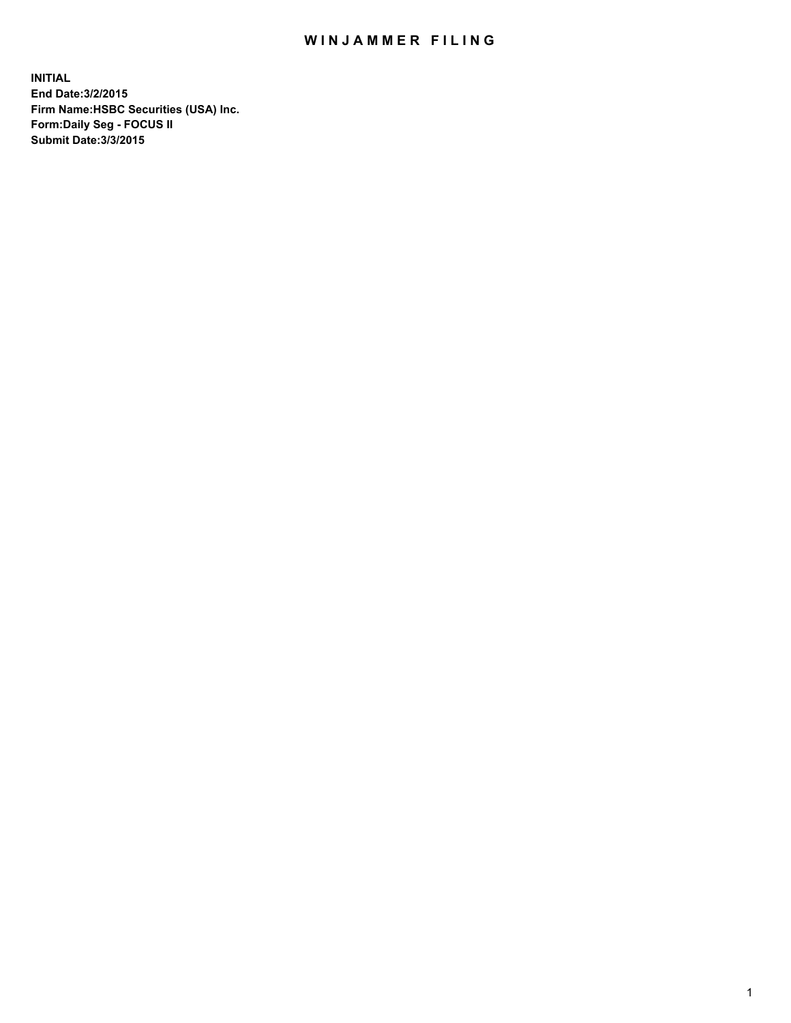## WIN JAMMER FILING

**INITIAL End Date:3/2/2015 Firm Name:HSBC Securities (USA) Inc. Form:Daily Seg - FOCUS II Submit Date:3/3/2015**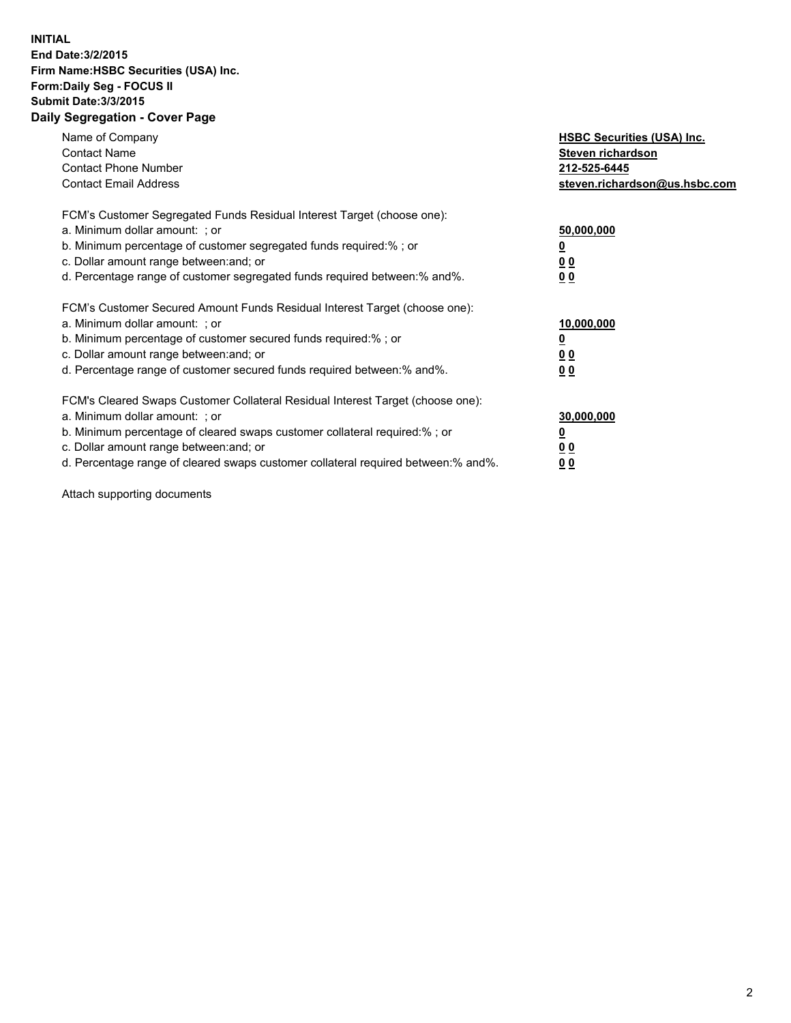## **INITIAL End Date:3/2/2015 Firm Name:HSBC Securities (USA) Inc. Form:Daily Seg - FOCUS II Submit Date:3/3/2015 Daily Segregation - Cover Page**

| Name of Company<br><b>Contact Name</b><br><b>Contact Phone Number</b><br><b>Contact Email Address</b>                                                                                                                                                                                                                         | <b>HSBC Securities (USA) Inc.</b><br>Steven richardson<br>212-525-6445<br>steven.richardson@us.hsbc.com |
|-------------------------------------------------------------------------------------------------------------------------------------------------------------------------------------------------------------------------------------------------------------------------------------------------------------------------------|---------------------------------------------------------------------------------------------------------|
| FCM's Customer Segregated Funds Residual Interest Target (choose one):<br>a. Minimum dollar amount: ; or<br>b. Minimum percentage of customer segregated funds required:% ; or<br>c. Dollar amount range between: and; or<br>d. Percentage range of customer segregated funds required between: % and %.                      | 50,000,000<br>0 <sub>0</sub><br>00                                                                      |
| FCM's Customer Secured Amount Funds Residual Interest Target (choose one):<br>a. Minimum dollar amount: ; or<br>b. Minimum percentage of customer secured funds required:%; or<br>c. Dollar amount range between: and; or<br>d. Percentage range of customer secured funds required between: % and %.                         | 10,000,000<br>00<br>00                                                                                  |
| FCM's Cleared Swaps Customer Collateral Residual Interest Target (choose one):<br>a. Minimum dollar amount: ; or<br>b. Minimum percentage of cleared swaps customer collateral required:%; or<br>c. Dollar amount range between: and; or<br>d. Percentage range of cleared swaps customer collateral required between:% and%. | 30,000,000<br>0 <sub>0</sub><br>00                                                                      |

Attach supporting documents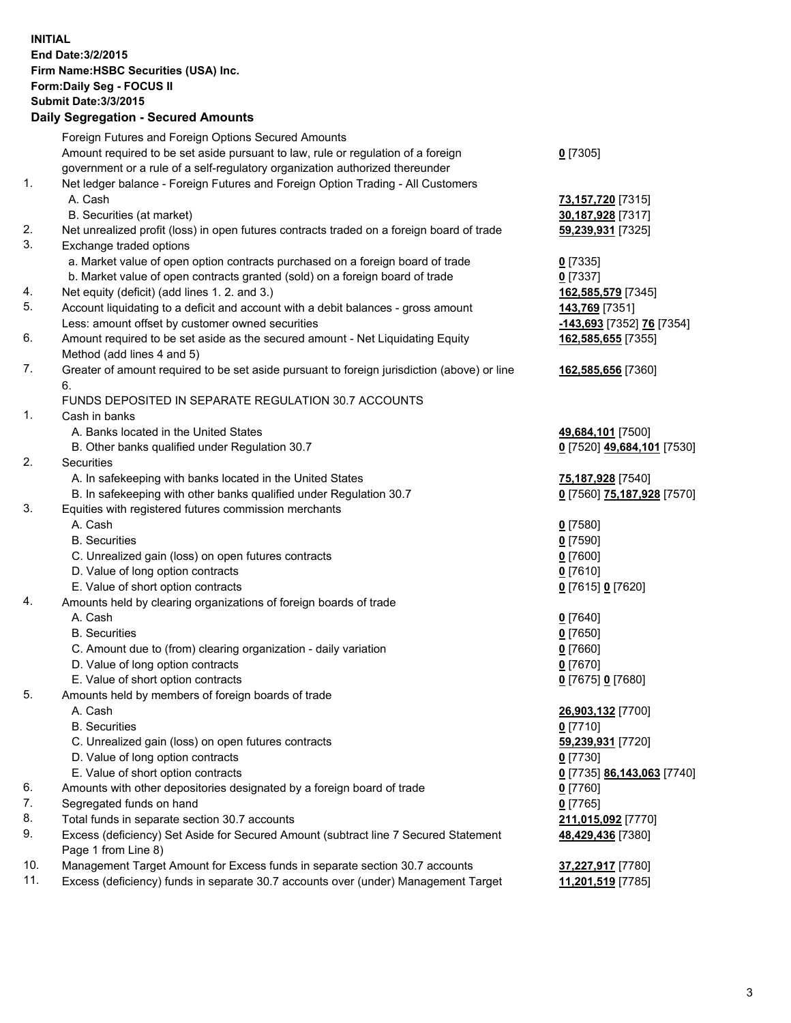**INITIAL End Date:3/2/2015 Firm Name:HSBC Securities (USA) Inc. Form:Daily Seg - FOCUS II Submit Date:3/3/2015 Daily Segregation - Secured Amounts** Foreign Futures and Foreign Options Secured Amounts Amount required to be set aside pursuant to law, rule or regulation of a foreign government or a rule of a self-regulatory organization authorized thereunder **0** [7305] 1. Net ledger balance - Foreign Futures and Foreign Option Trading - All Customers A. Cash **73,157,720** [7315] B. Securities (at market) **30,187,928** [7317] 2. Net unrealized profit (loss) in open futures contracts traded on a foreign board of trade **59,239,931** [7325] 3. Exchange traded options a. Market value of open option contracts purchased on a foreign board of trade **0** [7335] b. Market value of open contracts granted (sold) on a foreign board of trade **0** [7337] 4. Net equity (deficit) (add lines 1. 2. and 3.) **162,585,579** [7345] 5. Account liquidating to a deficit and account with a debit balances - gross amount **143,769** [7351] Less: amount offset by customer owned securities **-143,693** [7352] **76** [7354] 6. Amount required to be set aside as the secured amount - Net Liquidating Equity Method (add lines 4 and 5) **162,585,655** [7355] 7. Greater of amount required to be set aside pursuant to foreign jurisdiction (above) or line 6. **162,585,656** [7360] FUNDS DEPOSITED IN SEPARATE REGULATION 30.7 ACCOUNTS 1. Cash in banks A. Banks located in the United States **49,684,101** [7500] B. Other banks qualified under Regulation 30.7 **0** [7520] **49,684,101** [7530] 2. Securities A. In safekeeping with banks located in the United States **75,187,928** [7540] B. In safekeeping with other banks qualified under Regulation 30.7 **0** [7560] **75,187,928** [7570] 3. Equities with registered futures commission merchants A. Cash **0** [7580] B. Securities **0** [7590] C. Unrealized gain (loss) on open futures contracts **0** [7600] D. Value of long option contracts **0** [7610] E. Value of short option contracts **0** [7615] **0** [7620] 4. Amounts held by clearing organizations of foreign boards of trade A. Cash **0** [7640] B. Securities **0** [7650] C. Amount due to (from) clearing organization - daily variation **0** [7660] D. Value of long option contracts **0** [7670] E. Value of short option contracts **0** [7675] **0** [7680] 5. Amounts held by members of foreign boards of trade A. Cash **26,903,132** [7700] B. Securities **0** [7710] C. Unrealized gain (loss) on open futures contracts **59,239,931** [7720] D. Value of long option contracts **0** [7730] E. Value of short option contracts **0** [7735] **86,143,063** [7740] 6. Amounts with other depositories designated by a foreign board of trade **0** [7760] 7. Segregated funds on hand **0** [7765] 8. Total funds in separate section 30.7 accounts **211,015,092** [7770] 9. Excess (deficiency) Set Aside for Secured Amount (subtract line 7 Secured Statement Page 1 from Line 8) **48,429,436** [7380] 10. Management Target Amount for Excess funds in separate section 30.7 accounts **37,227,917** [7780]

11. Excess (deficiency) funds in separate 30.7 accounts over (under) Management Target **11,201,519** [7785]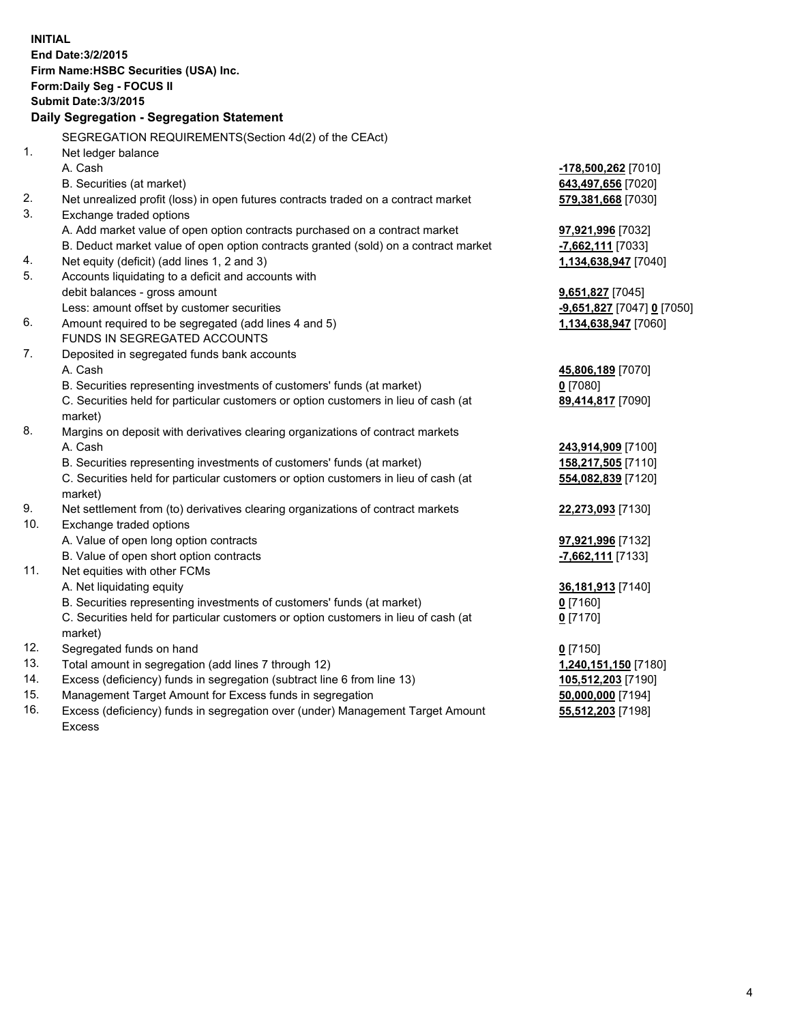| <b>INITIAL</b> | End Date: 3/2/2015<br>Firm Name: HSBC Securities (USA) Inc.<br>Form: Daily Seg - FOCUS II<br><b>Submit Date: 3/3/2015</b><br>Daily Segregation - Segregation Statement |                            |
|----------------|------------------------------------------------------------------------------------------------------------------------------------------------------------------------|----------------------------|
| 1.             | SEGREGATION REQUIREMENTS(Section 4d(2) of the CEAct)<br>Net ledger balance                                                                                             |                            |
|                | A. Cash                                                                                                                                                                | <u>-178,500,262</u> [7010] |
|                | B. Securities (at market)                                                                                                                                              | 643,497,656 [7020]         |
| 2.             | Net unrealized profit (loss) in open futures contracts traded on a contract market                                                                                     | 579,381,668 [7030]         |
| 3.             | Exchange traded options                                                                                                                                                |                            |
|                | A. Add market value of open option contracts purchased on a contract market                                                                                            | 97,921,996 [7032]          |
|                | B. Deduct market value of open option contracts granted (sold) on a contract market                                                                                    | -7,662,111 [7033]          |
| 4.             | Net equity (deficit) (add lines 1, 2 and 3)                                                                                                                            | 1,134,638,947 [7040]       |
| 5.             | Accounts liquidating to a deficit and accounts with                                                                                                                    |                            |
|                | debit balances - gross amount                                                                                                                                          | 9,651,827 [7045]           |
|                | Less: amount offset by customer securities                                                                                                                             | -9,651,827 [7047] 0 [7050] |
| 6.             | Amount required to be segregated (add lines 4 and 5)                                                                                                                   | 1,134,638,947 [7060]       |
|                | FUNDS IN SEGREGATED ACCOUNTS                                                                                                                                           |                            |
| 7.             | Deposited in segregated funds bank accounts                                                                                                                            |                            |
|                | A. Cash                                                                                                                                                                | 45,806,189 [7070]          |
|                | B. Securities representing investments of customers' funds (at market)                                                                                                 | $0$ [7080]                 |
|                | C. Securities held for particular customers or option customers in lieu of cash (at<br>market)                                                                         | 89,414,817 [7090]          |
| 8.             | Margins on deposit with derivatives clearing organizations of contract markets                                                                                         |                            |
|                | A. Cash                                                                                                                                                                | 243,914,909 [7100]         |
|                | B. Securities representing investments of customers' funds (at market)                                                                                                 | 158,217,505 [7110]         |
|                | C. Securities held for particular customers or option customers in lieu of cash (at<br>market)                                                                         | 554,082,839 [7120]         |
| 9.             | Net settlement from (to) derivatives clearing organizations of contract markets                                                                                        | 22,273,093 [7130]          |
| 10.            | Exchange traded options                                                                                                                                                |                            |
|                | A. Value of open long option contracts                                                                                                                                 | 97,921,996 [7132]          |
|                | B. Value of open short option contracts                                                                                                                                | -7,662,111 [7133]          |
| 11.            | Net equities with other FCMs                                                                                                                                           |                            |
|                | A. Net liquidating equity                                                                                                                                              | 36,181,913 [7140]          |
|                | B. Securities representing investments of customers' funds (at market)                                                                                                 | 0 <sup>[7160]</sup>        |
|                | C. Securities held for particular customers or option customers in lieu of cash (at<br>market)                                                                         | $0$ [7170]                 |
| 12.            | Segregated funds on hand                                                                                                                                               | $0$ [7150]                 |
| 13.            | Total amount in segregation (add lines 7 through 12)                                                                                                                   | 1,240,151,150 [7180]       |
| 14.            | Excess (deficiency) funds in segregation (subtract line 6 from line 13)                                                                                                | 105,512,203 [7190]         |
| 15.            | Management Target Amount for Excess funds in segregation                                                                                                               | 50,000,000 [7194]          |
| 16.            | Excess (deficiency) funds in segregation over (under) Management Target Amount                                                                                         | 55,512,203 [7198]          |
|                | Excess                                                                                                                                                                 |                            |